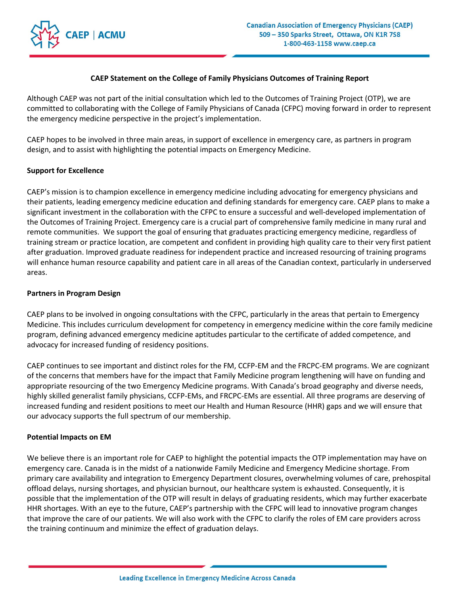

## **CAEP Statement on the College of Family Physicians Outcomes of Training Report**

Although CAEP was not part of the initial consultation which led to the Outcomes of Training Project (OTP), we are committed to collaborating with the College of Family Physicians of Canada (CFPC) moving forward in order to represent the emergency medicine perspective in the project's implementation.

CAEP hopes to be involved in three main areas, in support of excellence in emergency care, as partners in program design, and to assist with highlighting the potential impacts on Emergency Medicine.

## **Support for Excellence**

CAEP's mission is to champion excellence in emergency medicine including advocating for emergency physicians and their patients, leading emergency medicine education and defining standards for emergency care. CAEP plans to make a significant investment in the collaboration with the CFPC to ensure a successful and well-developed implementation of the Outcomes of Training Project. Emergency care is a crucial part of comprehensive family medicine in many rural and remote communities. We support the goal of ensuring that graduates practicing emergency medicine, regardless of training stream or practice location, are competent and confident in providing high quality care to their very first patient after graduation. Improved graduate readiness for independent practice and increased resourcing of training programs will enhance human resource capability and patient care in all areas of the Canadian context, particularly in underserved areas.

## **Partners in Program Design**

CAEP plans to be involved in ongoing consultations with the CFPC, particularly in the areas that pertain to Emergency Medicine. This includes curriculum development for competency in emergency medicine within the core family medicine program, defining advanced emergency medicine aptitudes particular to the certificate of added competence, and advocacy for increased funding of residency positions.

CAEP continues to see important and distinct roles for the FM, CCFP-EM and the FRCPC-EM programs. We are cognizant of the concerns that members have for the impact that Family Medicine program lengthening will have on funding and appropriate resourcing of the two Emergency Medicine programs. With Canada's broad geography and diverse needs, highly skilled generalist family physicians, CCFP-EMs, and FRCPC-EMs are essential. All three programs are deserving of increased funding and resident positions to meet our Health and Human Resource (HHR) gaps and we will ensure that our advocacy supports the full spectrum of our membership.

## **Potential Impacts on EM**

We believe there is an important role for CAEP to highlight the potential impacts the OTP implementation may have on emergency care. Canada is in the midst of a nationwide Family Medicine and Emergency Medicine shortage. From primary care availability and integration to Emergency Department closures, overwhelming volumes of care, prehospital offload delays, nursing shortages, and physician burnout, our healthcare system is exhausted. Consequently, it is possible that the implementation of the OTP will result in delays of graduating residents, which may further exacerbate HHR shortages. With an eye to the future, CAEP's partnership with the CFPC will lead to innovative program changes that improve the care of our patients. We will also work with the CFPC to clarify the roles of EM care providers across the training continuum and minimize the effect of graduation delays.